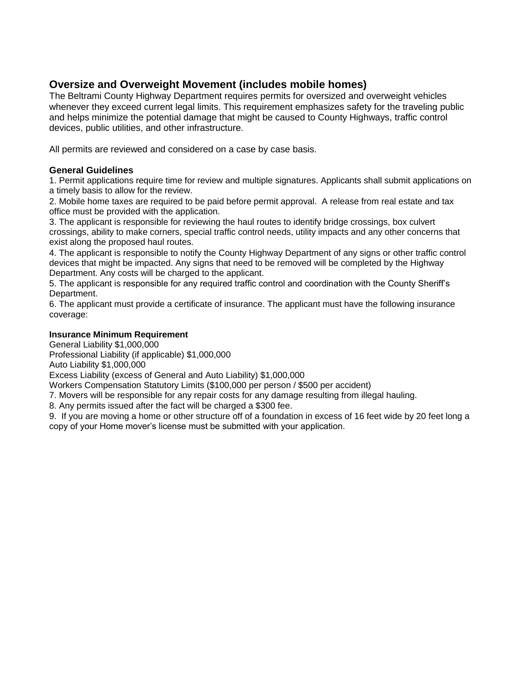# **Oversize and Overweight Movement (includes mobile homes)**

The Beltrami County Highway Department requires permits for oversized and overweight vehicles whenever they exceed current legal limits. This requirement emphasizes safety for the traveling public and helps minimize the potential damage that might be caused to County Highways, traffic control devices, public utilities, and other infrastructure.

All permits are reviewed and considered on a case by case basis.

### **General Guidelines**

1. Permit applications require time for review and multiple signatures. Applicants shall submit applications on a timely basis to allow for the review.

2. Mobile home taxes are required to be paid before permit approval. A release from real estate and tax office must be provided with the application.

3. The applicant is responsible for reviewing the haul routes to identify bridge crossings, box culvert crossings, ability to make corners, special traffic control needs, utility impacts and any other concerns that exist along the proposed haul routes.

4. The applicant is responsible to notify the County Highway Department of any signs or other traffic control devices that might be impacted. Any signs that need to be removed will be completed by the Highway Department. Any costs will be charged to the applicant.

5. The applicant is responsible for any required traffic control and coordination with the County Sheriff's Department.

6. The applicant must provide a certificate of insurance. The applicant must have the following insurance coverage:

### **Insurance Minimum Requirement**

General Liability \$1,000,000

Professional Liability (if applicable) \$1,000,000

Auto Liability \$1,000,000

Excess Liability (excess of General and Auto Liability) \$1,000,000

Workers Compensation Statutory Limits (\$100,000 per person / \$500 per accident)

7. Movers will be responsible for any repair costs for any damage resulting from illegal hauling.

8. Any permits issued after the fact will be charged a \$300 fee.

9. If you are moving a home or other structure off of a foundation in excess of 16 feet wide by 20 feet long a copy of your Home mover's license must be submitted with your application.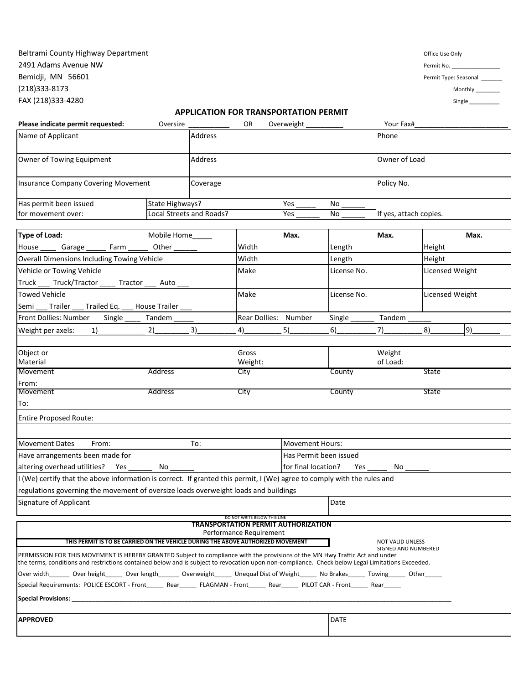### Beltrami County Highway Department and the control of the Use Only office Use Only 2491 Adams Avenue NW Permit No. Bemidji, MN 56601 Permit Type: Seasonal Permit Type: Seasonal Permit Type: Seasonal (218)333-8173 Monthly \_\_\_\_\_\_\_\_ FAX (218)333-4280 Single \_\_\_\_\_\_\_\_\_\_

#### **APPLICATION FOR TRANSPORTATION PERMIT**

| Please indicate permit requested:                                                                                                                                                                                                                                                | Oversize                                    |                | OR                           | Overweight                                 |               | Your Fax#               |                 |    |
|----------------------------------------------------------------------------------------------------------------------------------------------------------------------------------------------------------------------------------------------------------------------------------|---------------------------------------------|----------------|------------------------------|--------------------------------------------|---------------|-------------------------|-----------------|----|
| Name of Applicant                                                                                                                                                                                                                                                                |                                             | Address        |                              |                                            |               | Phone                   |                 |    |
| Owner of Towing Equipment                                                                                                                                                                                                                                                        |                                             | <b>Address</b> |                              |                                            | Owner of Load |                         |                 |    |
| <b>Insurance Company Covering Movement</b>                                                                                                                                                                                                                                       | Coverage                                    |                |                              | Policy No.                                 |               |                         |                 |    |
| Has permit been issued<br>for movement over:                                                                                                                                                                                                                                     | State Highways?<br>Local Streets and Roads? |                |                              | Yes<br>Yes                                 | No<br>No      | If yes, attach copies.  |                 |    |
| <b>Type of Load:</b>                                                                                                                                                                                                                                                             |                                             |                | Max.                         |                                            | Max.          |                         | Max.            |    |
| Mobile Home<br>Farm<br>Other $\_\_$<br>House<br>Garage                                                                                                                                                                                                                           |                                             |                | Width                        |                                            | Length        |                         | Height          |    |
| <b>Overall Dimensions Including Towing Vehicle</b>                                                                                                                                                                                                                               |                                             |                | Width                        |                                            | Length        |                         | Height          |    |
| Vehicle or Towing Vehicle<br>Truck ____ Truck/Tractor _____ Tractor ____ Auto ___                                                                                                                                                                                                |                                             |                | Make                         |                                            | License No.   |                         | Licensed Weight |    |
| <b>Towed Vehicle</b><br>Semi<br>Trailer<br>Trailed Eq.                                                                                                                                                                                                                           | House Trailer                               |                | Make                         |                                            | License No.   |                         | Licensed Weight |    |
| Front Dollies: Number<br>Single _                                                                                                                                                                                                                                                | Tandem                                      |                | Rear Dollies: Number         |                                            | Single        | Tandem                  |                 |    |
| Weight per axels:<br>1)                                                                                                                                                                                                                                                          | 2)                                          | 3)             | 4)                           | 5)                                         | 6)            | 7)                      | 8)              | 9) |
|                                                                                                                                                                                                                                                                                  |                                             |                |                              |                                            |               |                         |                 |    |
| Object or<br>Material                                                                                                                                                                                                                                                            |                                             |                | Gross<br>Weight:             |                                            |               | Weight<br>of Load:      |                 |    |
| Movement                                                                                                                                                                                                                                                                         | Address                                     |                | City                         |                                            | County        |                         | <b>State</b>    |    |
| From:<br>Movement<br>To:                                                                                                                                                                                                                                                         | <b>Address</b>                              |                | City                         |                                            | County        |                         | State           |    |
| <b>Entire Proposed Route:</b>                                                                                                                                                                                                                                                    |                                             |                |                              |                                            |               |                         |                 |    |
|                                                                                                                                                                                                                                                                                  |                                             |                |                              |                                            |               |                         |                 |    |
| To:<br>Movement Dates<br>From:                                                                                                                                                                                                                                                   |                                             |                |                              | <b>Movement Hours:</b>                     |               |                         |                 |    |
| Have arrangements been made for                                                                                                                                                                                                                                                  |                                             |                |                              | Has Permit been issued                     |               |                         |                 |    |
| altering overhead utilities?<br>Yes<br>No                                                                                                                                                                                                                                        |                                             |                |                              | for final location?<br>Yes<br>No           |               |                         |                 |    |
| I (We) certify that the above information is correct. If granted this permit, I (We) agree to comply with the rules and                                                                                                                                                          |                                             |                |                              |                                            |               |                         |                 |    |
| regulations governing the movement of oversize loads overweight loads and buildings                                                                                                                                                                                              |                                             |                |                              |                                            |               |                         |                 |    |
| Signature of Applicant                                                                                                                                                                                                                                                           |                                             |                |                              |                                            | Date          |                         |                 |    |
|                                                                                                                                                                                                                                                                                  |                                             |                | DO NOT WRITE BELOW THIS LINE | <b>TRANSPORTATION PERMIT AUTHORIZATION</b> |               |                         |                 |    |
| <u>THIS PERMIT IS TO BE CARRIED ON THE VEHICLE DURING THE ABOVE AUTHORIZED MOVEMENT</u>                                                                                                                                                                                          |                                             |                | Performance Requirement      |                                            |               | <b>NOT VALID UNLESS</b> |                 |    |
| PERMISSION FOR THIS MOVEMENT IS HEREBY GRANTED Subject to compliance with the provisions of the MN Hwy Traffic Act and under<br>the terms, conditions and restrictions contained below and is subject to revocation upon non-compliance. Check below Legal Limitations Exceeded. |                                             |                |                              |                                            |               | SIGNED AND NUMBERED     |                 |    |
| Over width______ Over height_____ Over length______ Overweight_____ Unequal Dist of Weight_____ No Brakes_____ Towing_____ Other_                                                                                                                                                |                                             |                |                              |                                            |               |                         |                 |    |
| Special Requirements: POLICE ESCORT - Front________Rear________FLAGMAN - Front________Rear__________________Rear_______                                                                                                                                                          |                                             |                |                              |                                            |               |                         |                 |    |
| <b>Special Provisions: Second Second Second Second Second Second Second Second Second Second Second Second Second S</b>                                                                                                                                                          |                                             |                |                              |                                            |               |                         |                 |    |
| <b>APPROVED</b>                                                                                                                                                                                                                                                                  |                                             |                |                              |                                            | <b>DATE</b>   |                         |                 |    |